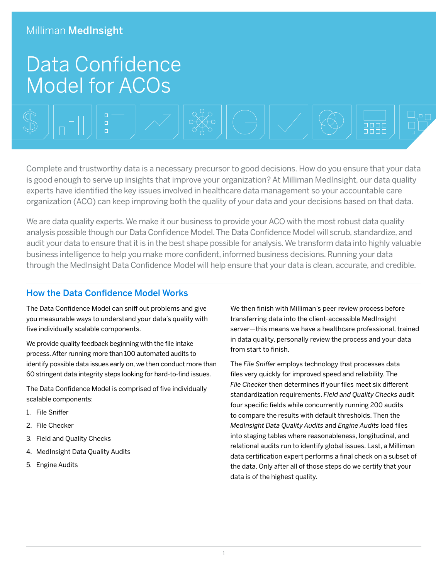# Data Confidence Model for ACOs



Complete and trustworthy data is a necessary precursor to good decisions. How do you ensure that your data is good enough to serve up insights that improve your organization? At Milliman MedInsight, our data quality experts have identified the key issues involved in healthcare data management so your accountable care organization (ACO) can keep improving both the quality of your data and your decisions based on that data.

We are data quality experts. We make it our business to provide your ACO with the most robust data quality analysis possible though our Data Confidence Model. The Data Confidence Model will scrub, standardize, and audit your data to ensure that it is in the best shape possible for analysis. We transform data into highly valuable business intelligence to help you make more confident, informed business decisions. Running your data through the MedInsight Data Confidence Model will help ensure that your data is clean, accurate, and credible.

#### How the Data Confidence Model Works

The Data Confidence Model can sniff out problems and give you measurable ways to understand your data's quality with five individually scalable components.

We provide quality feedback beginning with the file intake process. After running more than 100 automated audits to identify possible data issues early on, we then conduct more than 60 stringent data integrity steps looking for hard-to-find issues.

The Data Confidence Model is comprised of five individually scalable components:

- 1. File Sniffer
- 2. File Checker
- 3. Field and Quality Checks
- 4. MedInsight Data Quality Audits
- 5. Engine Audits

We then finish with Milliman's peer review process before transferring data into the client-accessible MedInsight server—this means we have a healthcare professional, trained in data quality, personally review the process and your data from start to finish.

The *File Sniffer* employs technology that processes data files very quickly for improved speed and reliability. The *File Checker* then determines if your files meet six different standardization requirements. *Field and Quality Checks* audit four specific fields while concurrently running 200 audits to compare the results with default thresholds. Then the *MedInsight Data Quality Audits* and *Engine Audits* load files into staging tables where reasonableness, longitudinal, and relational audits run to identify global issues. Last, a Milliman data certification expert performs a final check on a subset of the data. Only after all of those steps do we certify that your data is of the highest quality.